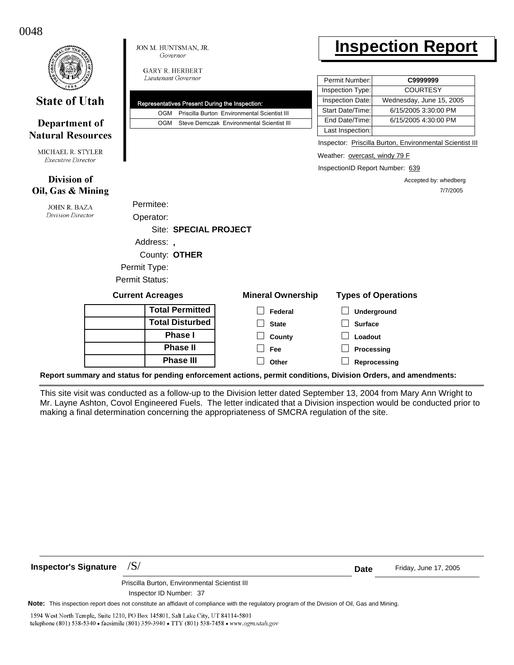0048

 $\blacksquare$ 

|                                                |  | JON M. HUNTSMAN, JR.<br>Governor              |                                     |                                                                                                |                          | <b>Inspection Report</b>                                         |                            |                                                                     |                                                          |  |
|------------------------------------------------|--|-----------------------------------------------|-------------------------------------|------------------------------------------------------------------------------------------------|--------------------------|------------------------------------------------------------------|----------------------------|---------------------------------------------------------------------|----------------------------------------------------------|--|
|                                                |  | <b>GARY R. HERBERT</b><br>Lieutenant Governor |                                     |                                                                                                |                          | Permit Number:                                                   |                            | C9999999                                                            |                                                          |  |
| <b>State of Utah</b>                           |  | <b>OGM</b>                                    |                                     | Representatives Present During the Inspection:<br>Priscilla Burton Environmental Scientist III |                          | Inspection Type:<br>Inspection Date:<br>Start Date/Time:         |                            | <b>COURTESY</b><br>Wednesday, June 15, 2005<br>6/15/2005 3:30:00 PM |                                                          |  |
| Department of<br><b>Natural Resources</b>      |  | <b>OGM</b>                                    |                                     | Steve Demczak Environmental Scientist III                                                      |                          | End Date/Time:<br>Last Inspection:                               |                            | 6/15/2005 4:30:00 PM                                                |                                                          |  |
| MICHAEL R. STYLER<br><b>Executive Director</b> |  |                                               |                                     |                                                                                                |                          | Weather: overcast, windy 79 F<br>InspectionID Report Number: 639 |                            |                                                                     | Inspector: Priscilla Burton, Environmental Scientist III |  |
| <b>Division of</b><br>Oil, Gas & Mining        |  |                                               |                                     |                                                                                                |                          |                                                                  |                            |                                                                     | Accepted by: whedberg<br>7/7/2005                        |  |
| <b>JOHN R. BAZA</b><br>Division Director       |  | Permitee:<br>Operator:                        |                                     |                                                                                                |                          |                                                                  |                            |                                                                     |                                                          |  |
|                                                |  |                                               | <b>Site: SPECIAL PROJECT</b>        |                                                                                                |                          |                                                                  |                            |                                                                     |                                                          |  |
|                                                |  | Address:,<br>County: OTHER                    |                                     |                                                                                                |                          |                                                                  |                            |                                                                     |                                                          |  |
|                                                |  | Permit Type:<br><b>Permit Status:</b>         |                                     |                                                                                                |                          |                                                                  |                            |                                                                     |                                                          |  |
|                                                |  | <b>Current Acreages</b>                       |                                     |                                                                                                | <b>Mineral Ownership</b> |                                                                  | <b>Types of Operations</b> |                                                                     |                                                          |  |
|                                                |  |                                               | <b>Total Permitted</b>              |                                                                                                | Federal                  |                                                                  | Underground                |                                                                     |                                                          |  |
|                                                |  | <b>Total Disturbed</b>                        |                                     |                                                                                                | <b>State</b>             |                                                                  | <b>Surface</b>             |                                                                     |                                                          |  |
|                                                |  | <b>Phase I</b>                                |                                     | County                                                                                         |                          | Loadout                                                          |                            |                                                                     |                                                          |  |
|                                                |  |                                               | <b>Phase II</b><br><b>Phase III</b> |                                                                                                | Fee                      |                                                                  | Processing                 |                                                                     |                                                          |  |
|                                                |  |                                               |                                     |                                                                                                | Other                    | Reprocessing                                                     |                            |                                                                     |                                                          |  |

Γ

**Report summary and status for pending enforcement actions, permit conditions, Division Orders, and amendments:**

This site visit was conducted as a follow-up to the Division letter dated September 13, 2004 from Mary Ann Wright to Mr. Layne Ashton, Covol Engineered Fuels. The letter indicated that a Division inspection would be conducted prior to making a final determination concerning the appropriateness of SMCRA regulation of the site.

**Inspector's Signature**  $/S/$ 

Friday, June 17, 2005

**Date**

Inspector ID Number: 37 Priscilla Burton, Environmental Scientist III

**Note:** This inspection report does not constitute an affidavit of compliance with the regulatory program of the Division of Oil, Gas and Mining.

1594 West North Temple, Suite 1210, PO Box 145801, Salt Lake City, UT 84114-5801 telephone (801) 538-5340 · facsimile (801) 359-3940 · TTY (801) 538-7458 · www.ogm.utah.gov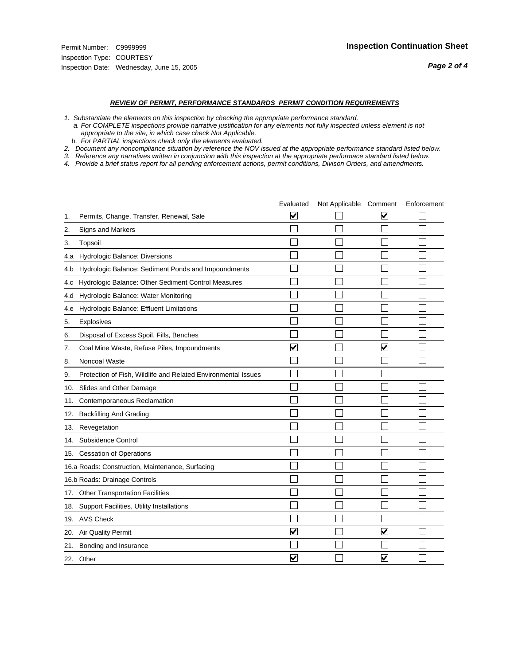*Page 2 of 4*

#### *REVIEW OF PERMIT, PERFORMANCE STANDARDS PERMIT CONDITION REQUIREMENTS*

*1. Substantiate the elements on this inspection by checking the appropriate performance standard.*

 *a. For COMPLETE inspections provide narrative justification for any elements not fully inspected unless element is not appropriate to the site, in which case check Not Applicable.*

 *b. For PARTIAL inspections check only the elements evaluated.*

*2. Document any noncompliance situation by reference the NOV issued at the appropriate performance standard listed below.*

*3. Reference any narratives written in conjunction with this inspection at the appropriate performace standard listed below.*

*4. Provide a brief status report for all pending enforcement actions, permit conditions, Divison Orders, and amendments.*

|     |                                                               | Evaluated               | Not Applicable Comment |                         | Enforcement |
|-----|---------------------------------------------------------------|-------------------------|------------------------|-------------------------|-------------|
| 1.  | Permits, Change, Transfer, Renewal, Sale                      | $\overline{\mathbf{v}}$ |                        | V                       |             |
| 2.  | Signs and Markers                                             |                         |                        |                         |             |
| 3.  | Topsoil                                                       |                         |                        |                         |             |
| 4.a | Hydrologic Balance: Diversions                                |                         |                        |                         |             |
| 4.b | Hydrologic Balance: Sediment Ponds and Impoundments           |                         |                        |                         |             |
| 4.c | Hydrologic Balance: Other Sediment Control Measures           |                         |                        |                         |             |
| 4.d | Hydrologic Balance: Water Monitoring                          |                         |                        |                         |             |
| 4.e | Hydrologic Balance: Effluent Limitations                      |                         |                        |                         |             |
| 5.  | <b>Explosives</b>                                             |                         |                        |                         |             |
| 6.  | Disposal of Excess Spoil, Fills, Benches                      |                         |                        |                         |             |
| 7.  | Coal Mine Waste, Refuse Piles, Impoundments                   | $\overline{\mathbf{v}}$ |                        | $\overline{\mathbf{v}}$ |             |
| 8.  | Noncoal Waste                                                 |                         |                        |                         |             |
| 9.  | Protection of Fish, Wildlife and Related Environmental Issues |                         |                        |                         |             |
|     | 10. Slides and Other Damage                                   |                         |                        |                         |             |
| 11. | Contemporaneous Reclamation                                   |                         |                        |                         |             |
| 12. | <b>Backfilling And Grading</b>                                |                         |                        |                         |             |
| 13. | Revegetation                                                  |                         |                        |                         |             |
| 14. | Subsidence Control                                            |                         |                        |                         |             |
|     | 15. Cessation of Operations                                   |                         |                        |                         |             |
|     | 16.a Roads: Construction, Maintenance, Surfacing              |                         |                        |                         |             |
|     | 16.b Roads: Drainage Controls                                 |                         |                        |                         |             |
|     | 17. Other Transportation Facilities                           |                         |                        |                         |             |
| 18. | Support Facilities, Utility Installations                     |                         |                        |                         |             |
|     | 19. AVS Check                                                 |                         |                        |                         |             |
| 20. | Air Quality Permit                                            | $\checkmark$            |                        | $\blacktriangledown$    |             |
| 21. | Bonding and Insurance                                         |                         |                        |                         |             |
|     | 22. Other                                                     | $\overline{\mathbf{v}}$ |                        | V                       |             |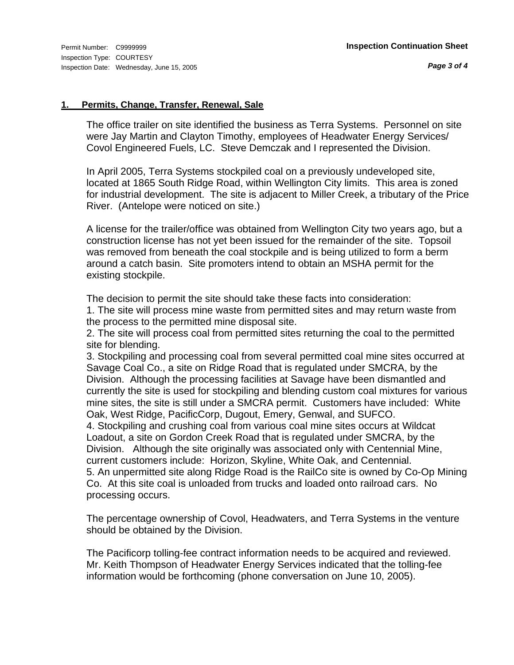#### **1. Permits, Change, Transfer, Renewal, Sale**

The office trailer on site identified the business as Terra Systems. Personnel on site were Jay Martin and Clayton Timothy, employees of Headwater Energy Services/ Covol Engineered Fuels, LC. Steve Demczak and I represented the Division.

In April 2005, Terra Systems stockpiled coal on a previously undeveloped site, located at 1865 South Ridge Road, within Wellington City limits. This area is zoned for industrial development. The site is adjacent to Miller Creek, a tributary of the Price River. (Antelope were noticed on site.)

A license for the trailer/office was obtained from Wellington City two years ago, but a construction license has not yet been issued for the remainder of the site. Topsoil was removed from beneath the coal stockpile and is being utilized to form a berm around a catch basin. Site promoters intend to obtain an MSHA permit for the existing stockpile.

The decision to permit the site should take these facts into consideration:

1. The site will process mine waste from permitted sites and may return waste from the process to the permitted mine disposal site.

2. The site will process coal from permitted sites returning the coal to the permitted site for blending.

3. Stockpiling and processing coal from several permitted coal mine sites occurred at Savage Coal Co., a site on Ridge Road that is regulated under SMCRA, by the Division. Although the processing facilities at Savage have been dismantled and currently the site is used for stockpiling and blending custom coal mixtures for various mine sites, the site is still under a SMCRA permit. Customers have included: White Oak, West Ridge, PacificCorp, Dugout, Emery, Genwal, and SUFCO.

4. Stockpiling and crushing coal from various coal mine sites occurs at Wildcat Loadout, a site on Gordon Creek Road that is regulated under SMCRA, by the Division. Although the site originally was associated only with Centennial Mine, current customers include: Horizon, Skyline, White Oak, and Centennial. 5. An unpermitted site along Ridge Road is the RailCo site is owned by Co-Op Mining Co. At this site coal is unloaded from trucks and loaded onto railroad cars. No processing occurs.

The percentage ownership of Covol, Headwaters, and Terra Systems in the venture should be obtained by the Division.

The Pacificorp tolling-fee contract information needs to be acquired and reviewed. Mr. Keith Thompson of Headwater Energy Services indicated that the tolling-fee information would be forthcoming (phone conversation on June 10, 2005).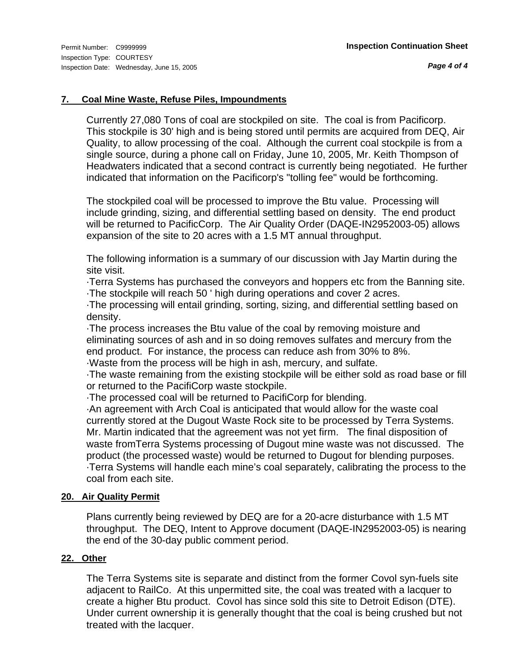*Page 4 of 4*

## **7. Coal Mine Waste, Refuse Piles, Impoundments**

Currently 27,080 Tons of coal are stockpiled on site. The coal is from Pacificorp. This stockpile is 30' high and is being stored until permits are acquired from DEQ, Air Quality, to allow processing of the coal. Although the current coal stockpile is from a single source, during a phone call on Friday, June 10, 2005, Mr. Keith Thompson of Headwaters indicated that a second contract is currently being negotiated. He further indicated that information on the Pacificorp's "tolling fee" would be forthcoming.

The stockpiled coal will be processed to improve the Btu value. Processing will include grinding, sizing, and differential settling based on density. The end product will be returned to PacificCorp. The Air Quality Order (DAQE-IN2952003-05) allows expansion of the site to 20 acres with a 1.5 MT annual throughput.

The following information is a summary of our discussion with Jay Martin during the site visit.

·Terra Systems has purchased the conveyors and hoppers etc from the Banning site. ·The stockpile will reach 50 ' high during operations and cover 2 acres.

·The processing will entail grinding, sorting, sizing, and differential settling based on density.

·The process increases the Btu value of the coal by removing moisture and eliminating sources of ash and in so doing removes sulfates and mercury from the end product. For instance, the process can reduce ash from 30% to 8%.

·Waste from the process will be high in ash, mercury, and sulfate.

·The waste remaining from the existing stockpile will be either sold as road base or fill or returned to the PacifiCorp waste stockpile.

·The processed coal will be returned to PacifiCorp for blending.

·An agreement with Arch Coal is anticipated that would allow for the waste coal currently stored at the Dugout Waste Rock site to be processed by Terra Systems. Mr. Martin indicated that the agreement was not yet firm. The final disposition of waste fromTerra Systems processing of Dugout mine waste was not discussed. The product (the processed waste) would be returned to Dugout for blending purposes. ·Terra Systems will handle each mine's coal separately, calibrating the process to the coal from each site.

### **20. Air Quality Permit**

Plans currently being reviewed by DEQ are for a 20-acre disturbance with 1.5 MT throughput. The DEQ, Intent to Approve document (DAQE-IN2952003-05) is nearing the end of the 30-day public comment period.

### **22. Other**

The Terra Systems site is separate and distinct from the former Covol syn-fuels site adjacent to RailCo. At this unpermitted site, the coal was treated with a lacquer to create a higher Btu product. Covol has since sold this site to Detroit Edison (DTE). Under current ownership it is generally thought that the coal is being crushed but not treated with the lacquer.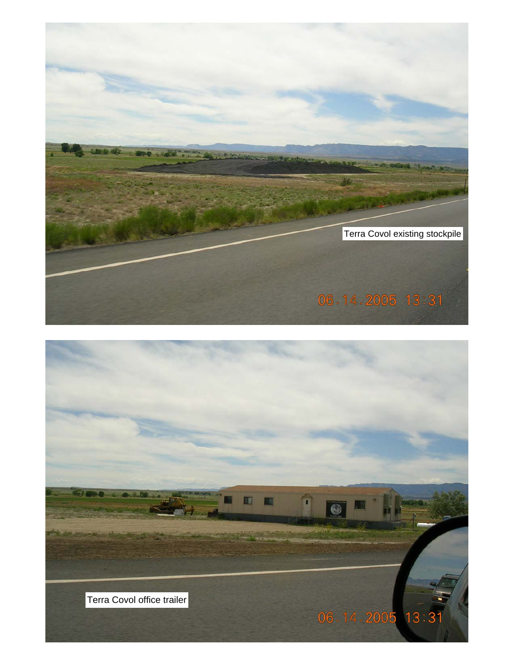

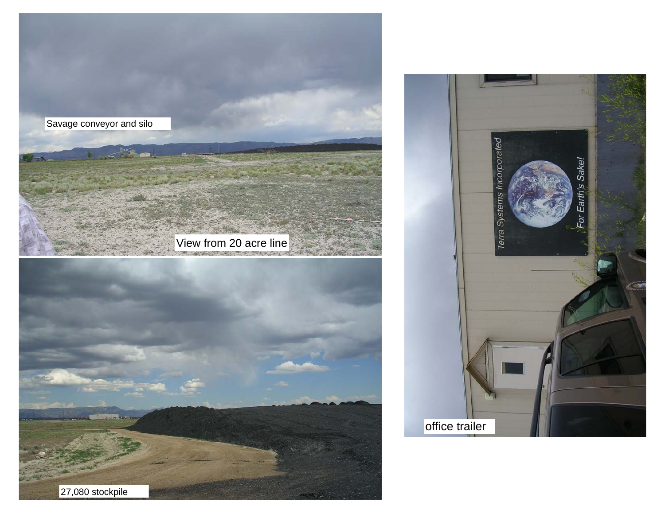

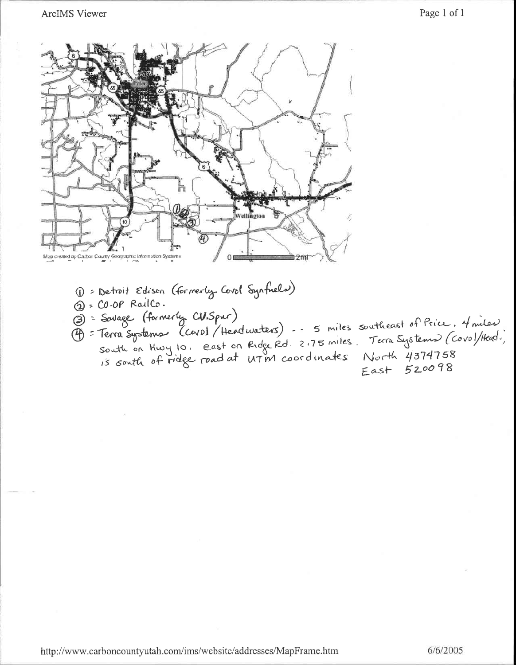

1 = Detroit Edison (formerly Covol Synfuels) 2 = CO-OP RailCo. (2) = Lu-ur raino.<br>
(3) = Source (formerly CW.Spur)<br>
(4) = Terra Systems (Covol / Headwaters) - - 5 miles southeast of Price. 4 miles)<br>
south on Huvy 10. east on Ridge Rd. 2.75 miles. Terra Systems (Covol/Head.)<br>
15 south East 520098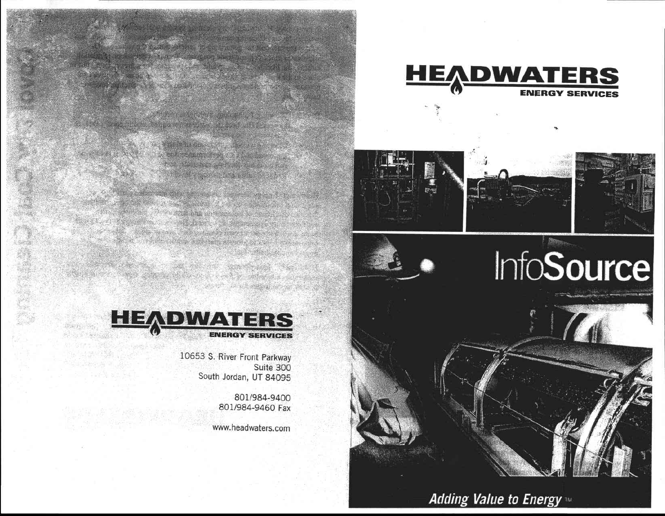









a state of the state of the state of the state of the state of the state of the state of the state of the state of the state of the state of the state of the state of the state of the state of the state of the state of the 

a strange de la provincia de la construcción

10653 S. River Front Parkway Suite 300 South Jordan, UT 84095

> 801/984-9400 801/984-9460 Fax

 $\mathcal{L}_{\mathcal{A}}(\mathcal{L}_{\mathcal{A}}) = \mathcal{L}_{\mathcal{A}}(\mathcal{L}_{\mathcal{A}}) = \mathcal{L}_{\mathcal{A}}(\mathcal{L}_{\mathcal{A}})$ 

BRITISH STATES IN THE REAL PROPERTY OF A 

www.headwaters.com

# Adding Value to Energy